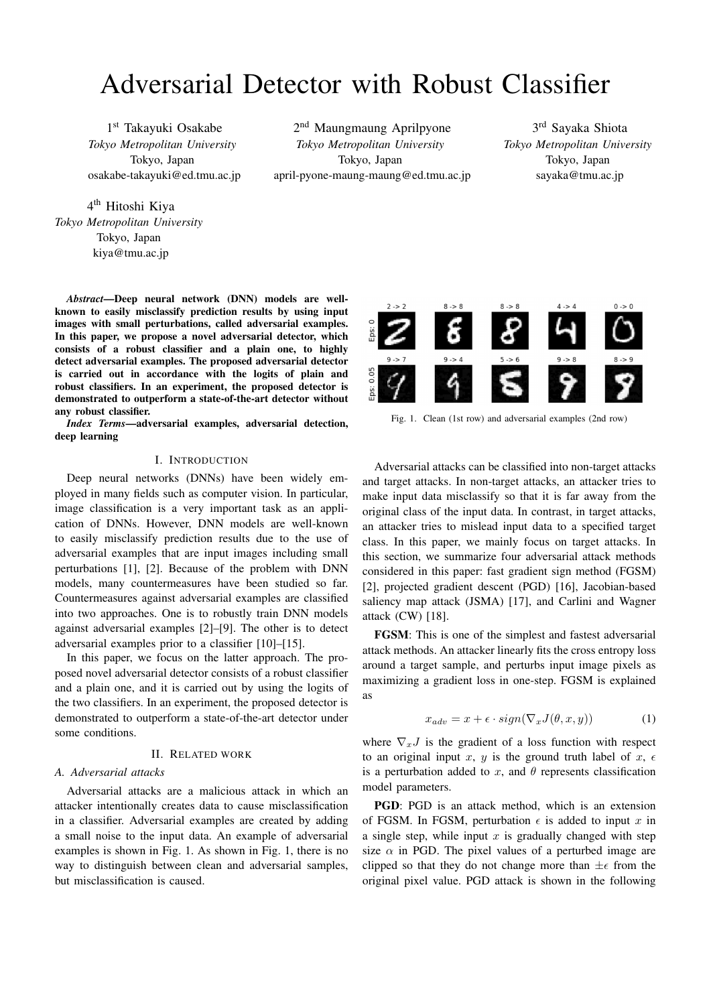# Adversarial Detector with Robust Classifier

1 st Takayuki Osakabe *Tokyo Metropolitan University* Tokyo, Japan osakabe-takayuki@ed.tmu.ac.jp

2 nd Maungmaung Aprilpyone *Tokyo Metropolitan University* Tokyo, Japan april-pyone-maung-maung@ed.tmu.ac.jp

3 rd Sayaka Shiota *Tokyo Metropolitan University* Tokyo, Japan sayaka@tmu.ac.jp

4<sup>th</sup> Hitoshi Kiya *Tokyo Metropolitan University* Tokyo, Japan kiya@tmu.ac.jp

*Abstract*—Deep neural network (DNN) models are wellknown to easily misclassify prediction results by using input images with small perturbations, called adversarial examples. In this paper, we propose a novel adversarial detector, which consists of a robust classifier and a plain one, to highly detect adversarial examples. The proposed adversarial detector is carried out in accordance with the logits of plain and robust classifiers. In an experiment, the proposed detector is demonstrated to outperform a state-of-the-art detector without any robust classifier.

*Index Terms*—adversarial examples, adversarial detection, deep learning

### I. INTRODUCTION

Deep neural networks (DNNs) have been widely employed in many fields such as computer vision. In particular, image classification is a very important task as an application of DNNs. However, DNN models are well-known to easily misclassify prediction results due to the use of adversarial examples that are input images including small perturbations [1], [2]. Because of the problem with DNN models, many countermeasures have been studied so far. Countermeasures against adversarial examples are classified into two approaches. One is to robustly train DNN models against adversarial examples [2]–[9]. The other is to detect adversarial examples prior to a classifier [10]–[15].

In this paper, we focus on the latter approach. The proposed novel adversarial detector consists of a robust classifier and a plain one, and it is carried out by using the logits of the two classifiers. In an experiment, the proposed detector is demonstrated to outperform a state-of-the-art detector under some conditions.

### II. RELATED WORK

## *A. Adversarial attacks*

Adversarial attacks are a malicious attack in which an attacker intentionally creates data to cause misclassification in a classifier. Adversarial examples are created by adding a small noise to the input data. An example of adversarial examples is shown in Fig. 1. As shown in Fig. 1, there is no way to distinguish between clean and adversarial samples, but misclassification is caused.



Fig. 1. Clean (1st row) and adversarial examples (2nd row)

Adversarial attacks can be classified into non-target attacks and target attacks. In non-target attacks, an attacker tries to make input data misclassify so that it is far away from the original class of the input data. In contrast, in target attacks, an attacker tries to mislead input data to a specified target class. In this paper, we mainly focus on target attacks. In this section, we summarize four adversarial attack methods considered in this paper: fast gradient sign method (FGSM) [2], projected gradient descent (PGD) [16], Jacobian-based saliency map attack (JSMA) [17], and Carlini and Wagner attack (CW) [18].

FGSM: This is one of the simplest and fastest adversarial attack methods. An attacker linearly fits the cross entropy loss around a target sample, and perturbs input image pixels as maximizing a gradient loss in one-step. FGSM is explained as

$$
x_{adv} = x + \epsilon \cdot sign(\nabla_x J(\theta, x, y)) \tag{1}
$$

where  $\nabla_x J$  is the gradient of a loss function with respect to an original input *x*, *y* is the ground truth label of *x*,  $\epsilon$ is a perturbation added to  $x$ , and  $\theta$  represents classification model parameters.

PGD: PGD is an attack method, which is an extension of FGSM. In FGSM, perturbation  $\epsilon$  is added to input x in a single step, while input *x* is gradually changed with step size  $\alpha$  in PGD. The pixel values of a perturbed image are clipped so that they do not change more than  $\pm \epsilon$  from the original pixel value. PGD attack is shown in the following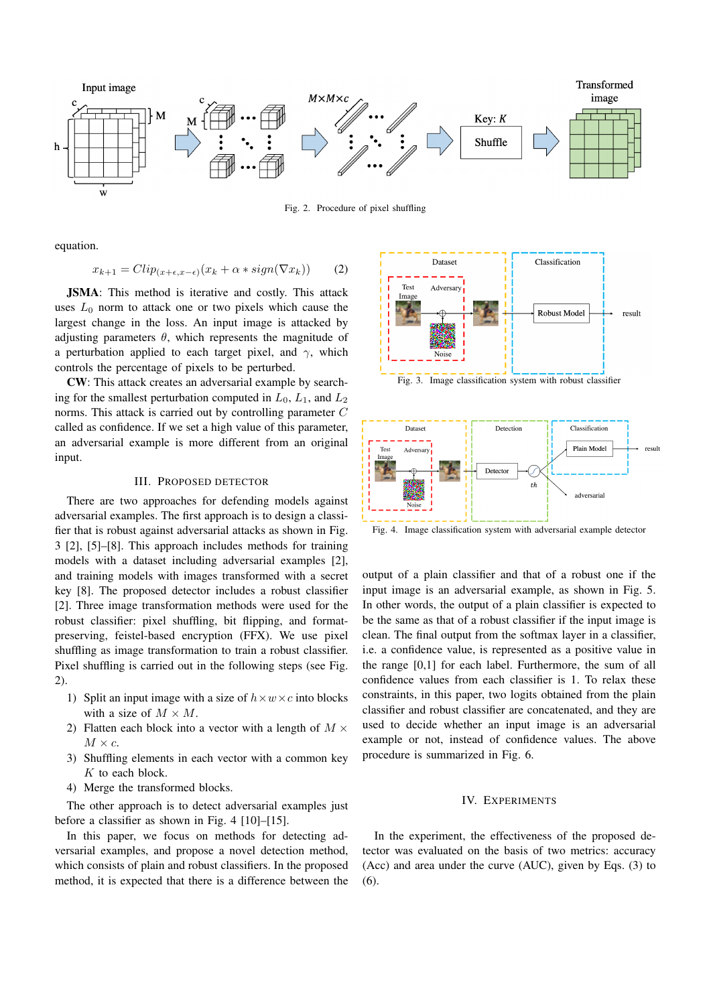

Fig. 2. Procedure of pixel shuffling

equation.

$$
x_{k+1} = Clip_{(x+\epsilon, x-\epsilon)}(x_k + \alpha * sign(\nabla x_k)) \qquad (2)
$$

JSMA: This method is iterative and costly. This attack uses  $L_0$  norm to attack one or two pixels which cause the largest change in the loss. An input image is attacked by adjusting parameters  $\theta$ , which represents the magnitude of a perturbation applied to each target pixel, and  $\gamma$ , which controls the percentage of pixels to be perturbed.

CW: This attack creates an adversarial example by searching for the smallest perturbation computed in  $L_0$ ,  $L_1$ , and  $L_2$ norms. This attack is carried out by controlling parameter *C* called as confidence. If we set a high value of this parameter, an adversarial example is more different from an original input.

#### III. PROPOSED DETECTOR

There are two approaches for defending models against adversarial examples. The first approach is to design a classifier that is robust against adversarial attacks as shown in Fig. 3 [2], [5]–[8]. This approach includes methods for training models with a dataset including adversarial examples [2], and training models with images transformed with a secret key [8]. The proposed detector includes a robust classifier [2]. Three image transformation methods were used for the robust classifier: pixel shuffling, bit flipping, and formatpreserving, feistel-based encryption (FFX). We use pixel shuffling as image transformation to train a robust classifier. Pixel shuffling is carried out in the following steps (see Fig. 2).

- 1) Split an input image with a size of  $h \times w \times c$  into blocks with a size of  $M \times M$ .
- 2) Flatten each block into a vector with a length of *M ×*  $M \times c$ .
- 3) Shuffling elements in each vector with a common key *K* to each block.
- 4) Merge the transformed blocks.

The other approach is to detect adversarial examples just before a classifier as shown in Fig. 4 [10]–[15].

In this paper, we focus on methods for detecting adversarial examples, and propose a novel detection method, which consists of plain and robust classifiers. In the proposed method, it is expected that there is a difference between the



Fig. 3. Image classification system with robust classifier



Fig. 4. Image classification system with adversarial example detector

output of a plain classifier and that of a robust one if the input image is an adversarial example, as shown in Fig. 5. In other words, the output of a plain classifier is expected to be the same as that of a robust classifier if the input image is clean. The final output from the softmax layer in a classifier, i.e. a confidence value, is represented as a positive value in the range [0,1] for each label. Furthermore, the sum of all confidence values from each classifier is 1. To relax these constraints, in this paper, two logits obtained from the plain classifier and robust classifier are concatenated, and they are used to decide whether an input image is an adversarial example or not, instead of confidence values. The above procedure is summarized in Fig. 6.

#### IV. EXPERIMENTS

In the experiment, the effectiveness of the proposed detector was evaluated on the basis of two metrics: accuracy (Acc) and area under the curve (AUC), given by Eqs. (3) to (6).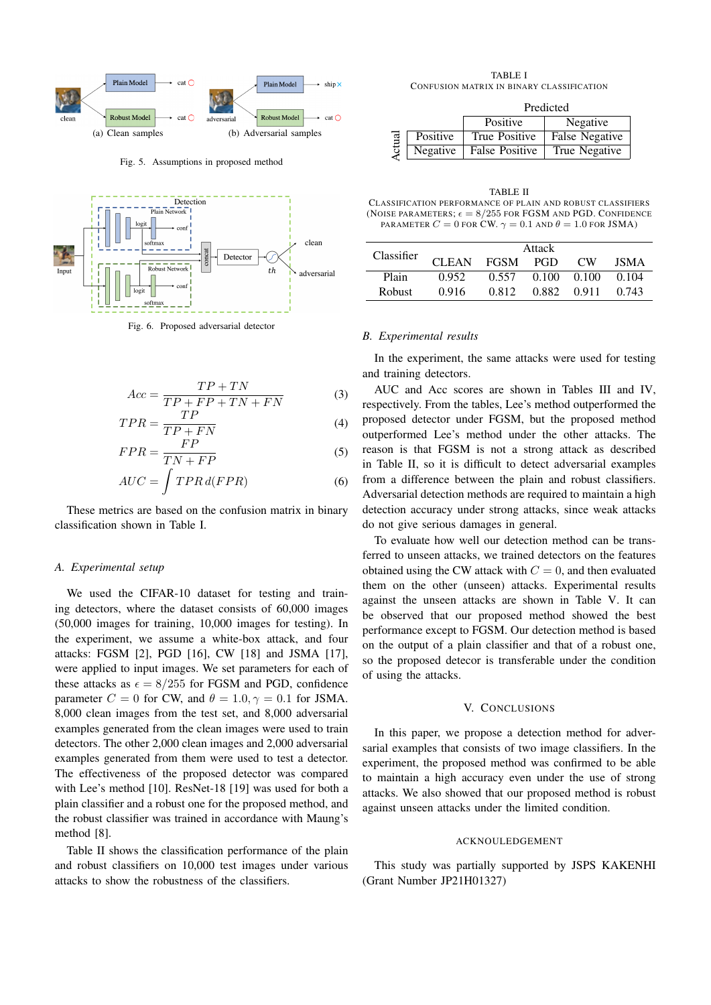

Fig. 5. Assumptions in proposed method



Fig. 6. Proposed adversarial detector

$$
Acc = \frac{TP + TN}{TP + FP + TN + FN}
$$
 (3)

$$
TPR = \frac{TP}{TP + FN}
$$
 (4)

$$
FPR = \frac{FP}{TN + FP}
$$
 (5)

$$
AUC = \int TPR \, d(FPR) \tag{6}
$$

These metrics are based on the confusion matrix in binary classification shown in Table I.

#### *A. Experimental setup*

We used the CIFAR-10 dataset for testing and training detectors, where the dataset consists of 60,000 images (50,000 images for training, 10,000 images for testing). In the experiment, we assume a white-box attack, and four attacks: FGSM [2], PGD [16], CW [18] and JSMA [17], were applied to input images. We set parameters for each of these attacks as  $\epsilon = 8/255$  for FGSM and PGD, confidence parameter  $C = 0$  for CW, and  $\theta = 1.0, \gamma = 0.1$  for JSMA. 8,000 clean images from the test set, and 8,000 adversarial examples generated from the clean images were used to train detectors. The other 2,000 clean images and 2,000 adversarial examples generated from them were used to test a detector. The effectiveness of the proposed detector was compared with Lee's method [10]. ResNet-18 [19] was used for both a plain classifier and a robust one for the proposed method, and the robust classifier was trained in accordance with Maung's method [8].

Table II shows the classification performance of the plain and robust classifiers on 10,000 test images under various attacks to show the robustness of the classifiers.

TABLE I CONFUSION MATRIX IN BINARY CLASSIFICATION

|       |          | Predicted             |                |  |  |
|-------|----------|-----------------------|----------------|--|--|
|       |          | Positive              | Negative       |  |  |
| ctual | Positive | True Positive         | False Negative |  |  |
|       | Negative | <b>False Positive</b> | True Negative  |  |  |

TABLE II CLASSIFICATION PERFORMANCE OF PLAIN AND ROBUST CLASSIFIERS (NOISE PARAMETERS;  $\epsilon = 8/255$  FOR FGSM AND PGD. CONFIDENCE PARAMETER  $C = 0$  FOR CW.  $\gamma = 0.1$  AND  $\theta = 1.0$  FOR JSMA)

| Classifier | Attack       |             |       |       |       |
|------------|--------------|-------------|-------|-------|-------|
|            | <b>CLEAN</b> | <b>FGSM</b> | PGD   | CW.   | ISMA  |
| Plain      | 0.952        | 0.557       | 0.100 | 0.100 | 0.104 |
| Robust     | 0.916        | 0.812       | 0.882 | 0.911 | 0.743 |

#### *B. Experimental results*

In the experiment, the same attacks were used for testing and training detectors.

AUC and Acc scores are shown in Tables III and IV, respectively. From the tables, Lee's method outperformed the proposed detector under FGSM, but the proposed method outperformed Lee's method under the other attacks. The reason is that FGSM is not a strong attack as described in Table II, so it is difficult to detect adversarial examples from a difference between the plain and robust classifiers. Adversarial detection methods are required to maintain a high detection accuracy under strong attacks, since weak attacks do not give serious damages in general.

To evaluate how well our detection method can be transferred to unseen attacks, we trained detectors on the features obtained using the CW attack with  $C = 0$ , and then evaluated them on the other (unseen) attacks. Experimental results against the unseen attacks are shown in Table V. It can be observed that our proposed method showed the best performance except to FGSM. Our detection method is based on the output of a plain classifier and that of a robust one, so the proposed detecor is transferable under the condition of using the attacks.

#### V. CONCLUSIONS

In this paper, we propose a detection method for adversarial examples that consists of two image classifiers. In the experiment, the proposed method was confirmed to be able to maintain a high accuracy even under the use of strong attacks. We also showed that our proposed method is robust against unseen attacks under the limited condition.

#### ACKNOULEDGEMENT

This study was partially supported by JSPS KAKENHI (Grant Number JP21H01327)